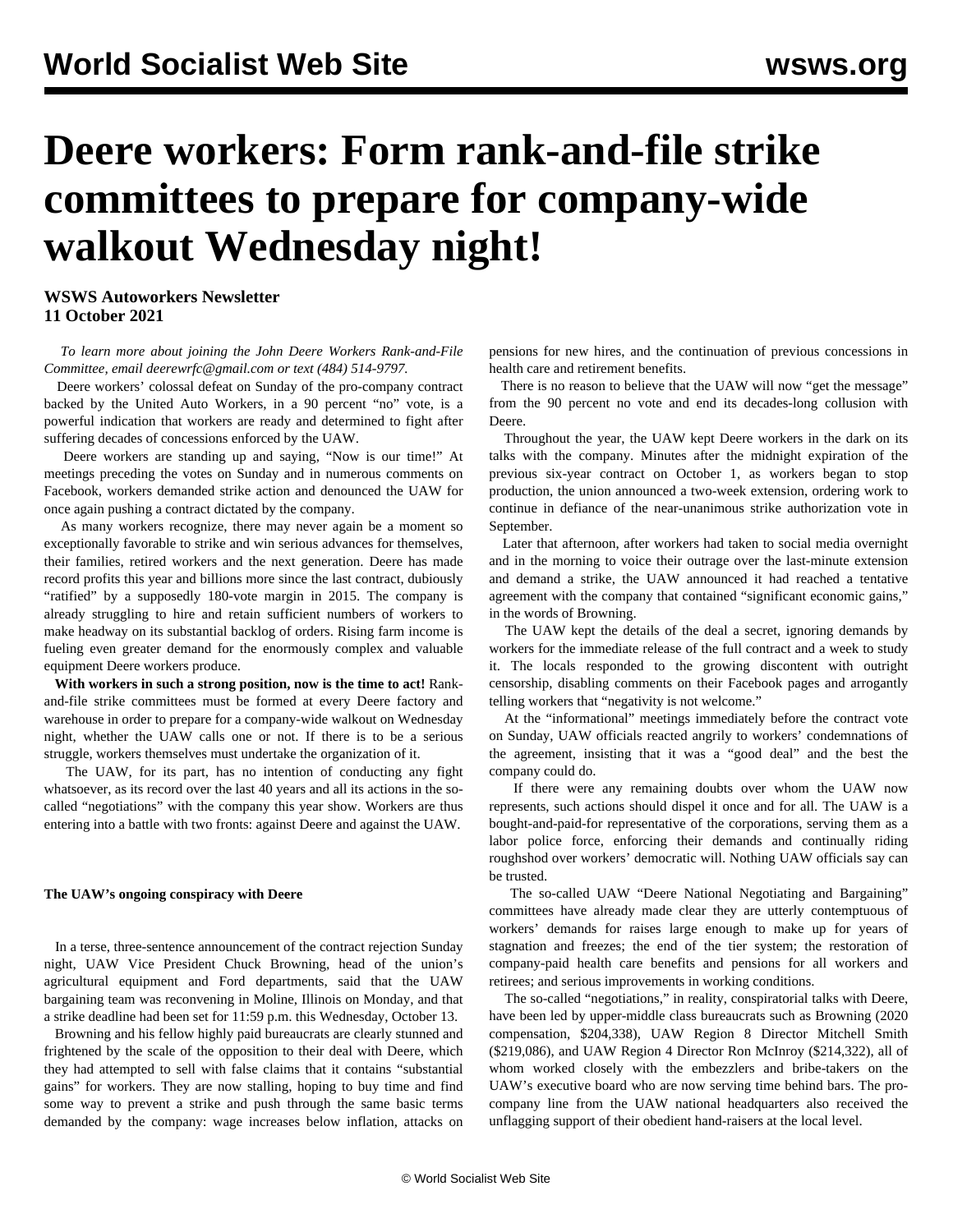## **Deere workers: Form rank-and-file strike committees to prepare for company-wide walkout Wednesday night!**

**WSWS Autoworkers Newsletter 11 October 2021**

 *To learn more about joining the John Deere Workers Rank-and-File Committee, email [deerewrfc@gmail.com](mailto:deerewrfc@gmail.com) or text (484) 514-9797.*

 Deere workers' colossal defeat on Sunday of the pro-company contract backed by the United Auto Workers, in a 90 percent "no" vote, is a powerful indication that workers are ready and determined to fight after suffering decades of concessions enforced by the UAW.

 Deere workers are standing up and saying, "Now is our time!" At meetings preceding the votes on Sunday and in numerous comments on Facebook, workers demanded strike action and denounced the UAW for once again pushing a contract dictated by the company.

 As many workers recognize, there may never again be a moment so exceptionally favorable to strike and win serious advances for themselves, their families, retired workers and the next generation. Deere has made record profits this year and billions more since the last contract, dubiously "ratified" by a supposedly 180-vote margin in 2015. The company is already struggling to hire and retain sufficient numbers of workers to make headway on its substantial backlog of orders. Rising farm income is fueling even greater demand for the enormously complex and valuable equipment Deere workers produce.

 **With workers in such a strong position, now is the time to act!** Rankand-file strike committees must be formed at every Deere factory and warehouse in order to prepare for a company-wide walkout on Wednesday night, whether the UAW calls one or not. If there is to be a serious struggle, workers themselves must undertake the organization of it.

 The UAW, for its part, has no intention of conducting any fight whatsoever, as its record over the last 40 years and all its actions in the socalled "negotiations" with the company this year show. Workers are thus entering into a battle with two fronts: against Deere and against the UAW.

## **The UAW's ongoing conspiracy with Deere**

 In a terse, three-sentence announcement of the contract rejection Sunday night, UAW Vice President Chuck Browning, head of the union's agricultural equipment and Ford departments, said that the UAW bargaining team was reconvening in Moline, Illinois on Monday, and that a strike deadline had been set for 11:59 p.m. this Wednesday, October 13.

 Browning and his fellow highly paid bureaucrats are clearly stunned and frightened by the scale of the opposition to their deal with Deere, which they had attempted to sell with false claims that it contains "substantial gains" for workers. They are now stalling, hoping to buy time and find some way to prevent a strike and push through the same basic terms demanded by the company: wage increases below inflation, attacks on

pensions for new hires, and the continuation of previous concessions in health care and retirement benefits.

There is no reason to believe that the UAW will now "get the message" from the 90 percent no vote and end its decades-long collusion with Deere.

 Throughout the year, the UAW kept Deere workers in the dark on its talks with the company. Minutes after the midnight expiration of the previous six-year contract on October 1, as workers began to stop production, the union announced a two-week extension, ordering work to continue in defiance of the near-unanimous strike authorization vote in September.

 Later that afternoon, after workers had taken to social media overnight and in the morning to voice their outrage over the last-minute extension and demand a strike, the UAW announced it had reached a tentative agreement with the company that contained "significant economic gains," in the words of Browning.

 The UAW kept the details of the deal a secret, ignoring demands by workers for the immediate release of the full contract and a week to study it. The locals responded to the growing discontent with outright censorship, disabling comments on their Facebook pages and arrogantly telling workers that "negativity is not welcome."

 At the "informational" meetings immediately before the contract vote on Sunday, UAW officials reacted angrily to workers' condemnations of the agreement, insisting that it was a "good deal" and the best the company could do.

 If there were any remaining doubts over whom the UAW now represents, such actions should dispel it once and for all. The UAW is a bought-and-paid-for representative of the corporations, serving them as a labor police force, enforcing their demands and continually riding roughshod over workers' democratic will. Nothing UAW officials say can be trusted.

 The so-called UAW "Deere National Negotiating and Bargaining" committees have already made clear they are utterly contemptuous of workers' demands for raises large enough to make up for years of stagnation and freezes; the end of the tier system; the restoration of company-paid health care benefits and pensions for all workers and retirees; and serious improvements in working conditions.

 The so-called "negotiations," in reality, conspiratorial talks with Deere, have been led by upper-middle class bureaucrats such as Browning (2020 compensation, \$204,338), UAW Region 8 Director Mitchell Smith (\$219,086), and UAW Region 4 Director Ron McInroy (\$214,322), all of whom worked closely with the [embezzlers and bribe-takers](/en/articles/2021/05/06/pers-m06.html) on the UAW's executive board who are now serving time behind bars. The procompany line from the UAW national headquarters also received the unflagging support of their obedient hand-raisers at the local level.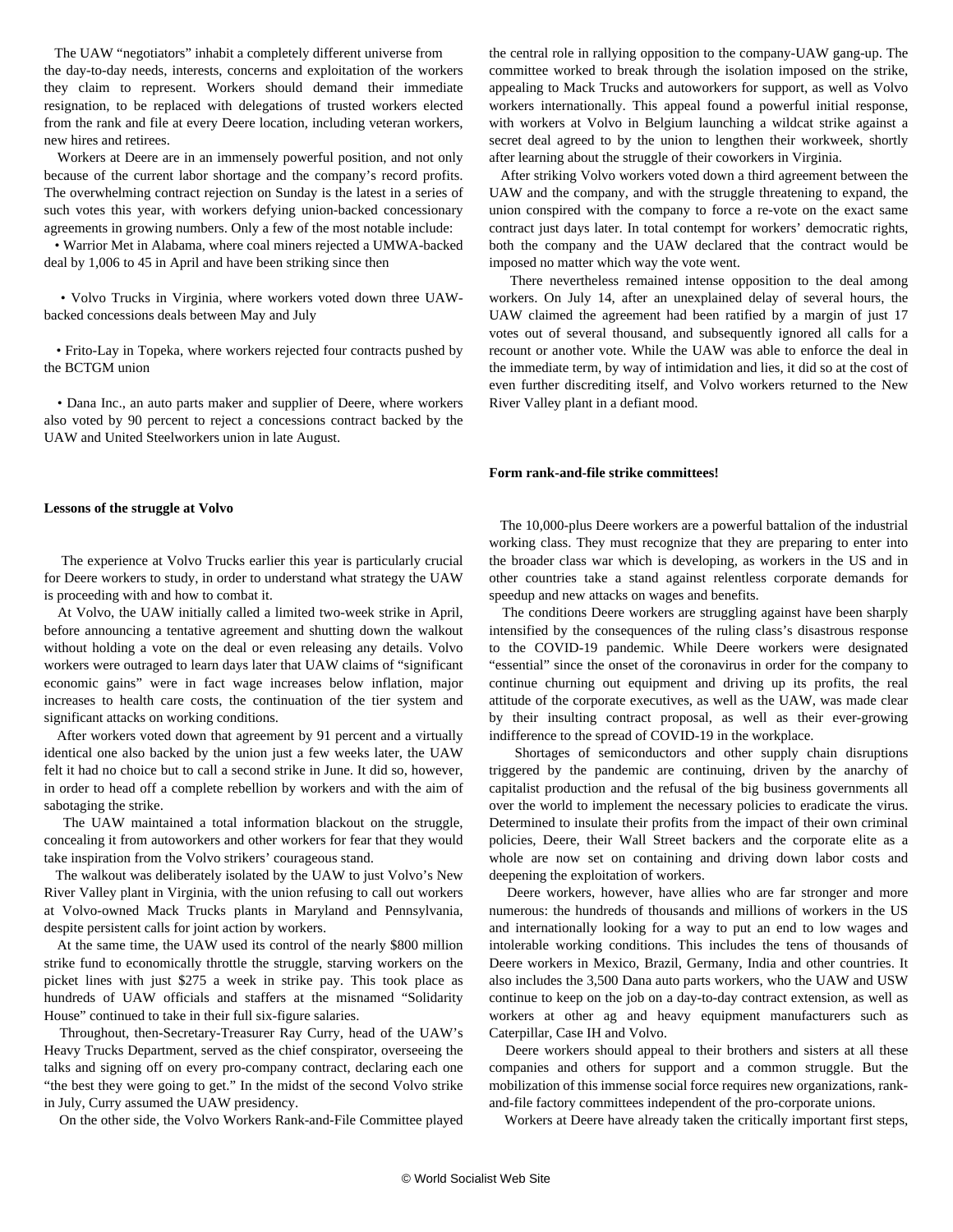The UAW "negotiators" inhabit a completely different universe from the day-to-day needs, interests, concerns and exploitation of the workers they claim to represent. Workers should demand their immediate resignation, to be replaced with delegations of trusted workers elected from the rank and file at every Deere location, including veteran workers, new hires and retirees.

 Workers at Deere are in an immensely powerful position, and not only because of the current labor shortage and the company's record profits. The overwhelming contract rejection on Sunday is the latest in a series of such votes this year, with workers defying union-backed concessionary agreements in growing numbers. Only a few of the most notable include:

 • [Warrior Met in Alabama,](/en/articles/2021/04/10/coal-a10.html) where coal miners rejected a UMWA-backed deal by 1,006 to 45 in April and have been striking since then

 • [Volvo Trucks in Virginia,](/en/articles/2021/07/15/volv-j15.html) where workers voted down three UAWbacked concessions deals between May and July

 • [Frito-Lay in Topeka,](/en/articles/2021/07/23/frit-j23.html) where workers rejected four contracts pushed by the BCTGM union

 • [Dana Inc.,](/en/articles/2021/09/04/dana-s04.html) an auto parts maker and supplier of Deere, where workers also voted by 90 percent to reject a concessions contract backed by the UAW and United Steelworkers union in late August.

## **Lessons of the struggle at Volvo**

 The [experience at Volvo Trucks](/en/articles/2021/07/20/vrfc-j20.html) earlier this year is particularly crucial for Deere workers to study, in order to understand what strategy the UAW is proceeding with and how to combat it.

 At Volvo, the UAW initially called a limited two-week strike in April, before announcing a tentative agreement and shutting down the walkout without holding a vote on the deal or even releasing any details. Volvo workers were outraged to learn days later that UAW claims of "significant economic gains" were in fact wage increases below inflation, major increases to health care costs, the continuation of the tier system and significant attacks on working conditions.

 After workers voted down that agreement by 91 percent and a virtually identical one also backed by the union just a few weeks later, the UAW felt it had no choice but to call a second strike in June. It did so, however, in order to head off a complete rebellion by workers and with the aim of sabotaging the strike.

 The UAW maintained a total information blackout on the struggle, concealing it from autoworkers and other workers for fear that they would take inspiration from the Volvo strikers' courageous stand.

 The walkout was deliberately isolated by the UAW to just Volvo's New River Valley plant in Virginia, with the union refusing to call out workers at Volvo-owned Mack Trucks plants in Maryland and Pennsylvania, despite persistent calls for joint action by workers.

 At the same time, the UAW used its control of the nearly \$800 million strike fund to economically throttle the struggle, starving workers on the picket lines with just \$275 a week in strike pay. This took place as hundreds of UAW officials and staffers at the misnamed "Solidarity House" continued to take in their full six-figure salaries.

 Throughout, then-Secretary-Treasurer Ray Curry, head of the UAW's Heavy Trucks Department, served as the chief conspirator, overseeing the talks and signing off on every pro-company contract, declaring each one "the best they were going to get." In the midst of the second Volvo strike in July, Curry assumed the UAW presidency.

On the other side, the Volvo Workers Rank-and-File Committee played

the central role in rallying opposition to the company-UAW gang-up. The committee worked to break through the isolation imposed on the strike, appealing to Mack Trucks and autoworkers for support, as well as Volvo workers internationally. This appeal found a powerful initial response, with [workers at Volvo in Belgium](/en/articles/2021/07/08/belg-j08.html) launching a wildcat strike against a secret deal agreed to by the union to lengthen their workweek, shortly after learning about the struggle of their coworkers in Virginia.

 After striking Volvo workers voted down a third agreement between the UAW and the company, and with the struggle threatening to expand, the union conspired with the company to force a re-vote on the exact same contract just days later. In total contempt for workers' democratic rights, both the company and the UAW declared that the contract would be imposed no matter which way the vote went.

 There nevertheless remained intense opposition to the deal among workers. On July 14, after an unexplained delay of several hours, the UAW claimed the agreement had been ratified by a margin of just 17 votes out of several thousand, and subsequently ignored all calls for a recount or another vote. While the UAW was able to enforce the deal in the immediate term, by way of intimidation and lies, it did so at the cost of even further discrediting itself, and Volvo workers returned to the New River Valley plant in a defiant mood.

## **Form rank-and-file strike committees!**

 The 10,000-plus Deere workers are a powerful battalion of the industrial working class. They must recognize that they are preparing to enter into the broader class war which is developing, as workers in the US and in other countries take a stand against relentless corporate demands for speedup and new attacks on wages and benefits.

 The conditions Deere workers are struggling against have been sharply intensified by the consequences of the ruling class's disastrous response to the COVID-19 pandemic. While Deere workers were designated "essential" since the onset of the coronavirus in order for the company to continue churning out equipment and driving up its profits, the real attitude of the corporate executives, as well as the UAW, was made clear by their insulting contract proposal, as well as their ever-growing indifference to the spread of COVID-19 in the workplace.

 Shortages of semiconductors and other supply chain disruptions triggered by the pandemic are continuing, driven by the anarchy of capitalist production and the refusal of the big business governments all over the world to implement the necessary policies to eradicate the virus. Determined to insulate their profits from the impact of their own criminal policies, Deere, their Wall Street backers and the corporate elite as a whole are now set on containing and driving down labor costs and deepening the exploitation of workers.

 Deere workers, however, have allies who are far stronger and more numerous: the hundreds of thousands and millions of workers in the US and internationally looking for a way to put an end to low wages and intolerable working conditions. This includes the tens of thousands of Deere workers in Mexico, Brazil, Germany, India and other countries. It also includes the 3,500 Dana auto parts workers, who the UAW and USW continue to keep on the job on a day-to-day contract extension, as well as workers at other ag and heavy equipment manufacturers such as Caterpillar, Case IH and Volvo.

 Deere workers should appeal to their brothers and sisters at all these companies and others for support and a common struggle. But the mobilization of this immense social force requires new organizations, rankand-file factory committees independent of the pro-corporate unions.

Workers at Deere have already taken the critically important first steps,